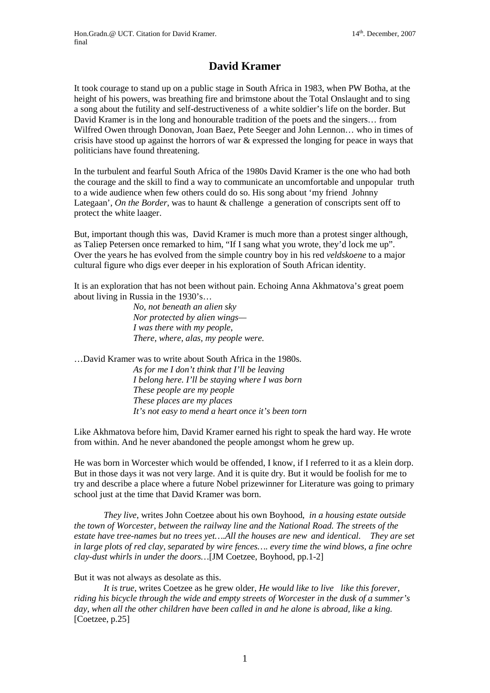## **David Kramer**

It took courage to stand up on a public stage in South Africa in 1983, when PW Botha, at the height of his powers, was breathing fire and brimstone about the Total Onslaught and to sing a song about the futility and self-destructiveness of a white soldier's life on the border. But David Kramer is in the long and honourable tradition of the poets and the singers… from Wilfred Owen through Donovan, Joan Baez, Pete Seeger and John Lennon… who in times of crisis have stood up against the horrors of war & expressed the longing for peace in ways that politicians have found threatening.

In the turbulent and fearful South Africa of the 1980s David Kramer is the one who had both the courage and the skill to find a way to communicate an uncomfortable and unpopular truth to a wide audience when few others could do so. His song about 'my friend Johnny Lategaan', *On the Border*, was to haunt & challenge a generation of conscripts sent off to protect the white laager.

But, important though this was, David Kramer is much more than a protest singer although, as Taliep Petersen once remarked to him, "If I sang what you wrote, they'd lock me up". Over the years he has evolved from the simple country boy in his red *veldskoene* to a major cultural figure who digs ever deeper in his exploration of South African identity.

It is an exploration that has not been without pain. Echoing Anna Akhmatova's great poem about living in Russia in the 1930's…

> *No, not beneath an alien sky Nor protected by alien wings— I was there with my people, There, where, alas, my people were.*

…David Kramer was to write about South Africa in the 1980s. *As for me I don't think that I'll be leaving I belong here. I'll be staying where I was born These people are my people These places are my places It's not easy to mend a heart once it's been torn*

Like Akhmatova before him, David Kramer earned his right to speak the hard way. He wrote from within. And he never abandoned the people amongst whom he grew up.

He was born in Worcester which would be offended, I know, if I referred to it as a klein dorp. But in those days it was not very large. And it is quite dry. But it would be foolish for me to try and describe a place where a future Nobel prizewinner for Literature was going to primary school just at the time that David Kramer was born.

*They live*, writes John Coetzee about his own Boyhood, *in a housing estate outside the town of Worcester, between the railway line and the National Road. The streets of the estate have tree-names but no trees yet….All the houses are new and identical. They are set in large plots of red clay, separated by wire fences…. every time the wind blows, a fine ochre clay-dust whirls in under the doors…*[JM Coetzee, Boyhood, pp.1-2]

But it was not always as desolate as this.

*It is true*, writes Coetzee as he grew older, *He would like to live like this forever, riding his bicycle through the wide and empty streets of Worcester in the dusk of a summer's day, when all the other children have been called in and he alone is abroad, like a king.* [Coetzee, p.25]